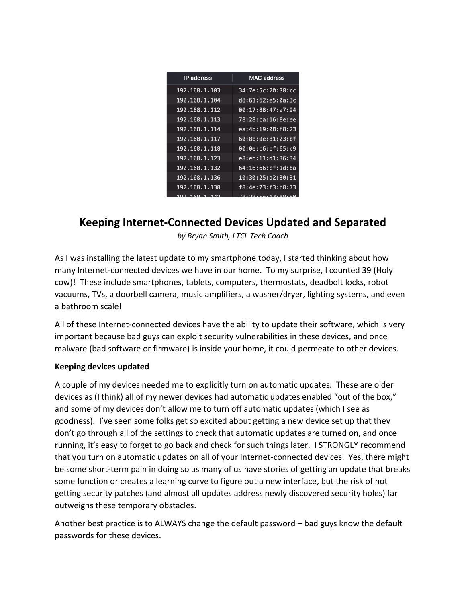| IP address    | <b>MAC</b> address     |
|---------------|------------------------|
| 192.168.1.103 | 34:7e:5c:20:38:cc      |
| 192.168.1.104 | d8:61:62:e5:0a:3c      |
| 192.168.1.112 | 00:17:88:47:a7:94      |
| 192.168.1.113 | 78:28:ca:16:8e:ee      |
| 192.168.1.114 | ea: 4b: 19: 08: f8: 23 |
| 192.168.1.117 | 60:8b:0e:81:23:bf      |
| 192.168.1.118 | 00:0e:c6:bf:65:c9      |
| 192.168.1.123 | e8:eb:11:d1:36:34      |
| 192.168.1.132 | 64:16:66:cf:1d:8a      |
| 192.168.1.136 | 10:30:25:a2:30:31      |
| 192.168.1.138 | f8:4e:73:f3:b8:73      |
| <b>CO</b>     | 70,00,00,00,00         |

## **Keeping Internet-Connected Devices Updated and Separated**

*by Bryan Smith, LTCL Tech Coach*

As I was installing the latest update to my smartphone today, I started thinking about how many Internet-connected devices we have in our home. To my surprise, I counted 39 (Holy cow)! These include smartphones, tablets, computers, thermostats, deadbolt locks, robot vacuums, TVs, a doorbell camera, music amplifiers, a washer/dryer, lighting systems, and even a bathroom scale!

All of these Internet-connected devices have the ability to update their software, which is very important because bad guys can exploit security vulnerabilities in these devices, and once malware (bad software or firmware) is inside your home, it could permeate to other devices.

## **Keeping devices updated**

A couple of my devices needed me to explicitly turn on automatic updates. These are older devices as (I think) all of my newer devices had automatic updates enabled "out of the box," and some of my devices don't allow me to turn off automatic updates (which I see as goodness). I've seen some folks get so excited about getting a new device set up that they don't go through all of the settings to check that automatic updates are turned on, and once running, it's easy to forget to go back and check for such things later. I STRONGLY recommend that you turn on automatic updates on all of your Internet-connected devices. Yes, there might be some short-term pain in doing so as many of us have stories of getting an update that breaks some function or creates a learning curve to figure out a new interface, but the risk of not getting security patches (and almost all updates address newly discovered security holes) far outweighs these temporary obstacles.

Another best practice is to ALWAYS change the default password – bad guys know the default passwords for these devices.